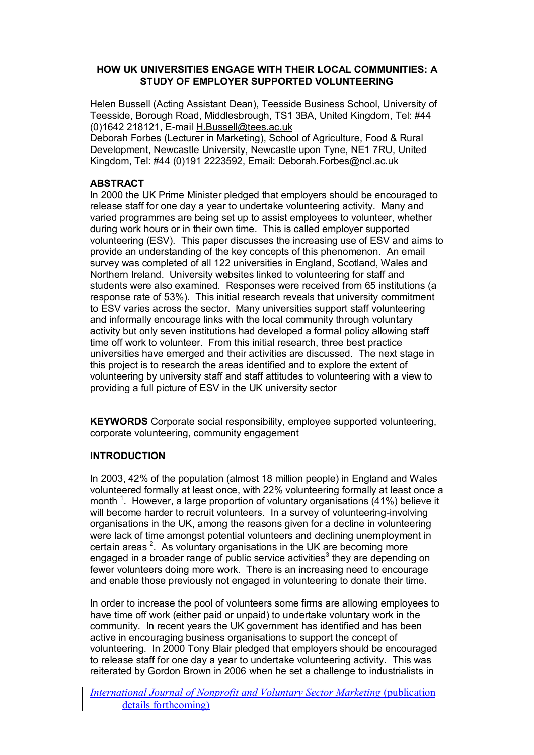#### **HOW UK UNIVERSITIES ENGAGE WITH THEIR LOCAL COMMUNITIES: A STUDY OF EMPLOYER SUPPORTED VOLUNTEERING**

Helen Bussell (Acting Assistant Dean), Teesside Business School, University of Teesside, Borough Road, Middlesbrough, TS1 3BA, United Kingdom, Tel: #44 (0)1642 218121, E-mail [H.Bussell@tees.ac.uk](mailto:H.Bussell@tees.ac.uk)

Deborah Forbes (Lecturer in Marketing), School of Agriculture, Food & Rural Development, Newcastle University, Newcastle upon Tyne, NE1 7RU, United Kingdom, Tel: #44 (0)191 2223592, Email: [Deborah.Forbes@ncl.ac.uk](mailto:Deborah.Forbes@ncl.ac.uk)

## **ABSTRACT**

In 2000 the UK Prime Minister pledged that employers should be encouraged to release staff for one day a year to undertake volunteering activity. Many and varied programmes are being set up to assist employees to volunteer, whether during work hours or in their own time. This is called employer supported volunteering (ESV). This paper discusses the increasing use of ESV and aims to provide an understanding of the key concepts of this phenomenon. An email survey was completed of all 122 universities in England, Scotland, Wales and Northern Ireland. University websites linked to volunteering for staff and students were also examined. Responses were received from 65 institutions (a response rate of 53%). This initial research reveals that university commitment to ESV varies across the sector. Many universities support staff volunteering and informally encourage links with the local community through voluntary activity but only seven institutions had developed a formal policy allowing staff time off work to volunteer. From this initial research, three best practice universities have emerged and their activities are discussed. The next stage in this project is to research the areas identified and to explore the extent of volunteering by university staff and staff attitudes to volunteering with a view to providing a full picture of ESV in the UK university sector

**KEYWORDS** Corporate social responsibility, employee supported volunteering, corporate volunteering, community engagement

# **INTRODUCTION**

In 2003, 42% of the population (almost 18 million people) in England and Wales volunteered formally at least once, with 22% volunteering formally at least once a month  $1$ . However, a large proportion of voluntary organisations (41%) believe it will become harder to recruit volunteers. In a survey of volunteering-involving organisations in the UK, among the reasons given for a decline in volunteering were lack of time amongst potential volunteers and declining unemployment in certain areas  $2$ . As voluntary organisations in the UK are becoming more engaged in a broader range of public service activities<sup>3</sup> they are depending on fewer volunteers doing more work. There is an increasing need to encourage and enable those previously not engaged in volunteering to donate their time.

In order to increase the pool of volunteers some firms are allowing employees to have time off work (either paid or unpaid) to undertake voluntary work in the community. In recent years the UK government has identified and has been active in encouraging business organisations to support the concept of volunteering. In 2000 Tony Blair pledged that employers should be encouraged to release staff for one day a year to undertake volunteering activity. This was reiterated by Gordon Brown in 2006 when he set a challenge to industrialists in

*International Journal of Nonprofit and Voluntary Sector Marketing* (publication details forthcoming)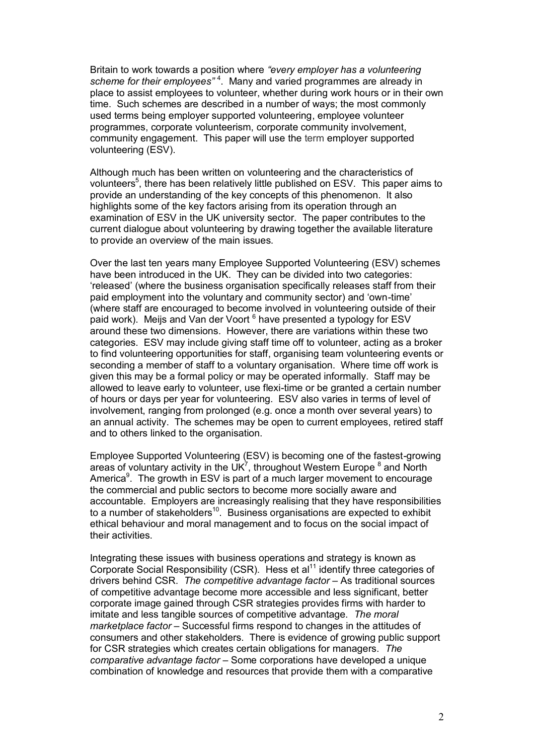Britain to work towards a position where *"every employer has a volunteering*  scheme for their employees<sup>"4</sup>. Many and varied programmes are already in place to assist employees to volunteer, whether during work hours or in their own time. Such schemes are described in a number of ways; the most commonly used terms being employer supported volunteering, employee volunteer programmes, corporate volunteerism, corporate community involvement, community engagement. This paper will use the term employer supported volunteering (ESV).

Although much has been written on volunteering and the characteristics of volunteers<sup>5</sup>, there has been relatively little published on ESV. This paper aims to provide an understanding of the key concepts of this phenomenon. It also highlights some of the key factors arising from its operation through an examination of ESV in the UK university sector. The paper contributes to the current dialogue about volunteering by drawing together the available literature to provide an overview of the main issues.

Over the last ten years many Employee Supported Volunteering (ESV) schemes have been introduced in the UK. They can be divided into two categories: "released" (where the business organisation specifically releases staff from their paid employment into the voluntary and community sector) and "own-time" (where staff are encouraged to become involved in volunteering outside of their paid work). Meijs and Van der Voort <sup>6</sup> have presented a typology for ESV around these two dimensions. However, there are variations within these two categories. ESV may include giving staff time off to volunteer, acting as a broker to find volunteering opportunities for staff, organising team volunteering events or seconding a member of staff to a voluntary organisation. Where time off work is given this may be a formal policy or may be operated informally. Staff may be allowed to leave early to volunteer, use flexi-time or be granted a certain number of hours or days per year for volunteering. ESV also varies in terms of level of involvement, ranging from prolonged (e.g. once a month over several years) to an annual activity. The schemes may be open to current employees, retired staff and to others linked to the organisation.

Employee Supported Volunteering (ESV) is becoming one of the fastest-growing areas of voluntary activity in the UK<sup>7</sup>, throughout Western Europe  $^8$  and North America<sup>9</sup>. The growth in ESV is part of a much larger movement to encourage the commercial and public sectors to become more socially aware and accountable. Employers are increasingly realising that they have responsibilities to a number of stakeholders<sup>10</sup>. Business organisations are expected to exhibit ethical behaviour and moral management and to focus on the social impact of their activities.

Integrating these issues with business operations and strategy is known as Corporate Social Responsibility (CSR). Hess et al<sup>11</sup> identify three categories of drivers behind CSR. *The competitive advantage factor* – As traditional sources of competitive advantage become more accessible and less significant, better corporate image gained through CSR strategies provides firms with harder to imitate and less tangible sources of competitive advantage. *The moral marketplace factor* – Successful firms respond to changes in the attitudes of consumers and other stakeholders. There is evidence of growing public support for CSR strategies which creates certain obligations for managers. *The comparative advantage factor* – Some corporations have developed a unique combination of knowledge and resources that provide them with a comparative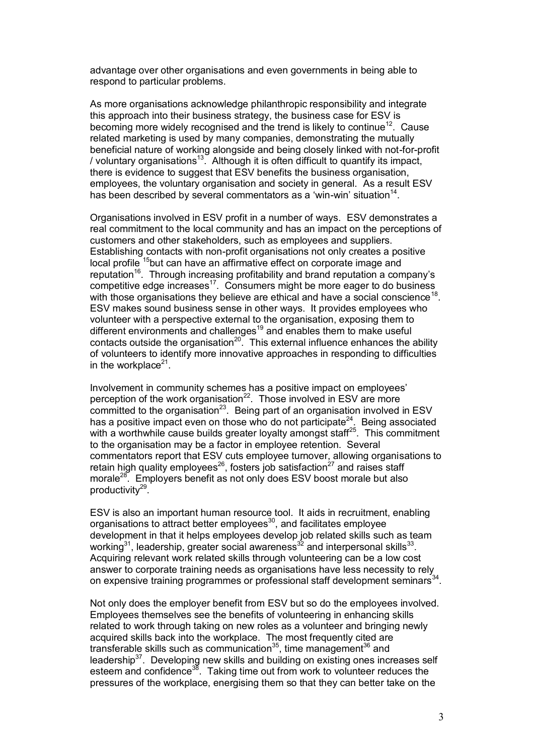advantage over other organisations and even governments in being able to respond to particular problems.

As more organisations acknowledge philanthropic responsibility and integrate this approach into their business strategy, the business case for ESV is becoming more widely recognised and the trend is likely to continue<sup>12</sup>. Cause related marketing is used by many companies, demonstrating the mutually beneficial nature of working alongside and being closely linked with not-for-profit / voluntary organisations<sup>13</sup>. Although it is often difficult to quantify its impact, there is evidence to suggest that ESV benefits the business organisation, employees, the voluntary organisation and society in general. As a result ESV has been described by several commentators as a 'win-win' situation<sup>14</sup>.

Organisations involved in ESV profit in a number of ways. ESV demonstrates a real commitment to the local community and has an impact on the perceptions of customers and other stakeholders, such as employees and suppliers. Establishing contacts with non-profit organisations not only creates a positive local profile <sup>15</sup>but can have an affirmative effect on corporate image and reputation<sup>16</sup>. Through increasing profitability and brand reputation a company's competitive edge increases<sup>17</sup>. Consumers might be more eager to do business with those organisations they believe are ethical and have a social conscience<sup>18</sup>. ESV makes sound business sense in other ways. It provides employees who volunteer with a perspective external to the organisation, exposing them to different environments and challenges<sup>19</sup> and enables them to make useful contacts outside the organisation<sup>20</sup>. This external influence enhances the ability of volunteers to identify more innovative approaches in responding to difficulties in the workplace $21$ .

Involvement in community schemes has a positive impact on employees" perception of the work organisation<sup>22</sup>. Those involved in ESV are more committed to the organisation<sup>23</sup>. Being part of an organisation involved in ESV has a positive impact even on those who do not participate<sup>24</sup>. Being associated with a worthwhile cause builds greater loyalty amongst staff $^{25}$ . This commitment to the organisation may be a factor in employee retention. Several commentators report that ESV cuts employee turnover, allowing organisations to retain high quality employees<sup>26</sup>, fosters job satisfaction<sup>27</sup> and raises staff morale $28$ . Employers benefit as not only does ESV boost morale but also productivity<sup>29</sup>.

ESV is also an important human resource tool. It aids in recruitment, enabling organisations to attract better employees<sup>30</sup>, and facilitates employee development in that it helps employees develop job related skills such as team working<sup>31</sup>, leadership, greater social awareness<sup>32</sup> and interpersonal skills<sup>33</sup>. Acquiring relevant work related skills through volunteering can be a low cost answer to corporate training needs as organisations have less necessity to rely on expensive training programmes or professional staff development seminars<sup>3</sup> .

Not only does the employer benefit from ESV but so do the employees involved. Employees themselves see the benefits of volunteering in enhancing skills related to work through taking on new roles as a volunteer and bringing newly acquired skills back into the workplace. The most frequently cited are transferable skills such as communication<sup>35</sup>, time management<sup>36</sup> and leadership<sup>37</sup>. Developing new skills and building on existing ones increases self esteem and confidence<sup>38</sup>. Taking time out from work to volunteer reduces the pressures of the workplace, energising them so that they can better take on the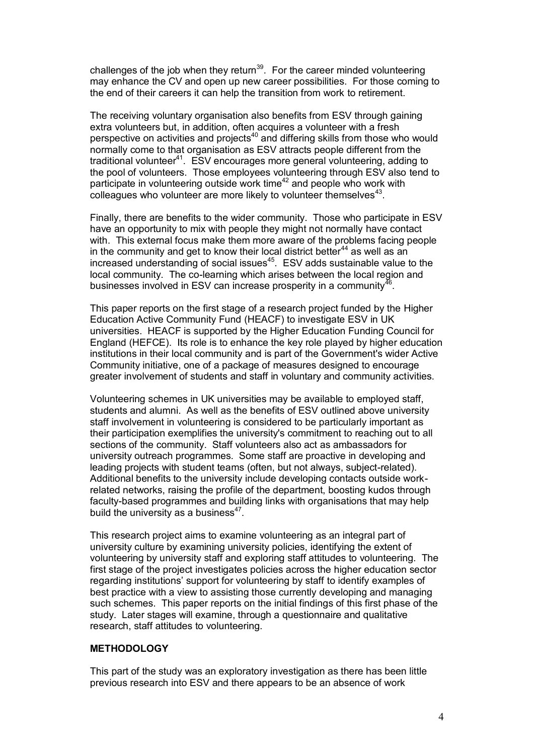challenges of the job when they return<sup>39</sup>. For the career minded volunteering may enhance the CV and open up new career possibilities. For those coming to the end of their careers it can help the transition from work to retirement.

The receiving voluntary organisation also benefits from ESV through gaining extra volunteers but, in addition, often acquires a volunteer with a fresh perspective on activities and projects<sup>40</sup> and differing skills from those who would normally come to that organisation as ESV attracts people different from the traditional volunteer<sup>41</sup>. ESV encourages more general volunteering, adding to the pool of volunteers. Those employees volunteering through ESV also tend to participate in volunteering outside work time<sup>42</sup> and people who work with colleagues who volunteer are more likely to volunteer themselves $43$ .

Finally, there are benefits to the wider community. Those who participate in ESV have an opportunity to mix with people they might not normally have contact with. This external focus make them more aware of the problems facing people in the community and get to know their local district better $44$  as well as an in the community call government is also not consider the monocolour contract on the increased understanding of social issues<sup>45</sup>. ESV adds sustainable value to the local community. The co-learning which arises between the local region and businesses involved in ESV can increase prosperity in a community  $\frac{4}{5}$ .<br>.

This paper reports on the first stage of a research project funded by the [Higher](http://www.hefce.ac.uk/reachout/heacf/)  [Education Active Community Fund](http://www.hefce.ac.uk/reachout/heacf/) (HEACF) to investigate ESV in UK universities. HEACF is supported by the Higher Education Funding Council for England (HEFCE). Its role is to enhance the key role played by higher education institutions in their local community and is part of the Government's wider Active Community initiative, one of a package of measures designed to encourage greater involvement of students and staff in voluntary and community activities.

Volunteering schemes in UK universities may be available to employed staff, students and alumni. As well as the benefits of ESV outlined above university staff involvement in volunteering is considered to be particularly important as their participation exemplifies the university's commitment to reaching out to all sections of the community. Staff volunteers also act as ambassadors for university outreach programmes. Some staff are proactive in developing and leading projects with student teams (often, but not always, subject-related). Additional benefits to the university include developing contacts outside workrelated networks, raising the profile of the department, boosting kudos through faculty-based programmes and building links with organisations that may help build the university as a business $47$ .

This research project aims to examine volunteering as an integral part of university culture by examining university policies, identifying the extent of volunteering by university staff and exploring staff attitudes to volunteering. The first stage of the project investigates policies across the higher education sector regarding institutions" support for volunteering by staff to identify examples of best practice with a view to assisting those currently developing and managing such schemes. This paper reports on the initial findings of this first phase of the study. Later stages will examine, through a questionnaire and qualitative research, staff attitudes to volunteering.

#### **METHODOLOGY**

This part of the study was an exploratory investigation as there has been little previous research into ESV and there appears to be an absence of work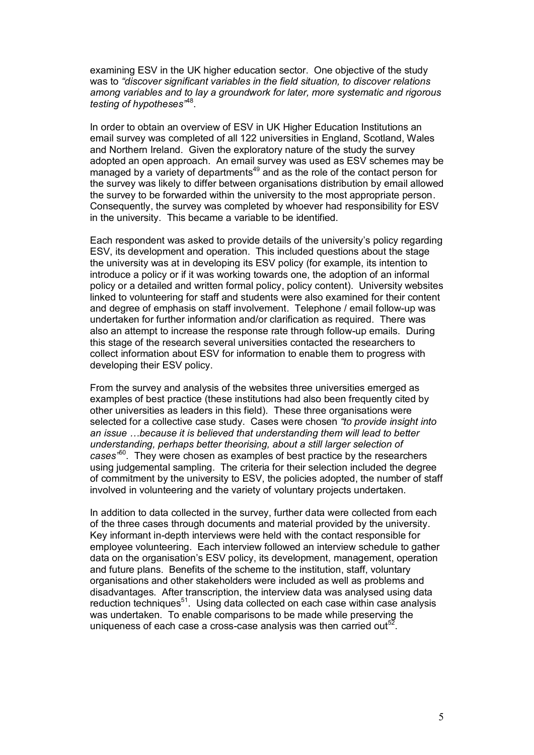examining ESV in the UK higher education sector. One objective of the study was to *"discover significant variables in the field situation, to discover relations among variables and to lay a groundwork for later, more systematic and rigorous testing of hypotheses"*<sup>48</sup> .

In order to obtain an overview of ESV in UK Higher Education Institutions an email survey was completed of all 122 universities in England, Scotland, Wales and Northern Ireland. Given the exploratory nature of the study the survey adopted an open approach. An email survey was used as ESV schemes may be managed by a variety of departments<sup>49</sup> and as the role of the contact person for the survey was likely to differ between organisations distribution by email allowed the survey to be forwarded within the university to the most appropriate person. Consequently, the survey was completed by whoever had responsibility for ESV in the university. This became a variable to be identified.

Each respondent was asked to provide details of the university's policy regarding ESV, its development and operation. This included questions about the stage the university was at in developing its ESV policy (for example, its intention to introduce a policy or if it was working towards one, the adoption of an informal policy or a detailed and written formal policy, policy content). University websites linked to volunteering for staff and students were also examined for their content and degree of emphasis on staff involvement. Telephone / email follow-up was undertaken for further information and/or clarification as required. There was also an attempt to increase the response rate through follow-up emails. During this stage of the research several universities contacted the researchers to collect information about ESV for information to enable them to progress with developing their ESV policy.

From the survey and analysis of the websites three universities emerged as examples of best practice (these institutions had also been frequently cited by other universities as leaders in this field). These three organisations were selected for a collective case study. Cases were chosen *"to provide insight into an issue …because it is believed that understanding them will lead to better understanding, perhaps better theorising, about a still larger selection of cases"*<sup>50</sup>. They were chosen as examples of best practice by the researchers using judgemental sampling. The criteria for their selection included the degree of commitment by the university to ESV, the policies adopted, the number of staff involved in volunteering and the variety of voluntary projects undertaken.

In addition to data collected in the survey, further data were collected from each of the three cases through documents and material provided by the university. Key informant in-depth interviews were held with the contact responsible for employee volunteering. Each interview followed an interview schedule to gather data on the organisation"s ESV policy, its development, management, operation and future plans. Benefits of the scheme to the institution, staff, voluntary organisations and other stakeholders were included as well as problems and disadvantages. After transcription, the interview data was analysed using data reduction techniques<sup>51</sup>. Using data collected on each case within case analysis was undertaken. To enable comparisons to be made while preserving the uniqueness of each case a cross-case analysis was then carried out $^{52}$ .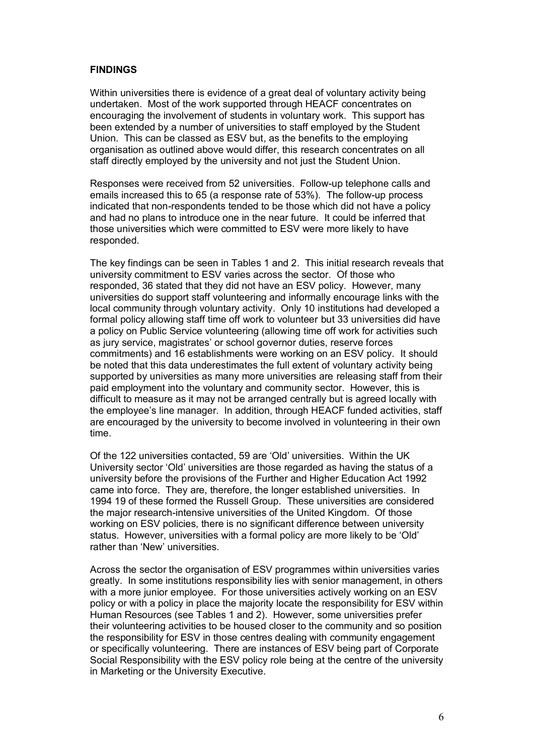### **FINDINGS**

Within universities there is evidence of a great deal of voluntary activity being undertaken. Most of the work supported through HEACF concentrates on encouraging the involvement of students in voluntary work. This support has been extended by a number of universities to staff employed by the Student Union. This can be classed as ESV but, as the benefits to the employing organisation as outlined above would differ, this research concentrates on all staff directly employed by the university and not just the Student Union.

Responses were received from 52 universities. Follow-up telephone calls and emails increased this to 65 (a response rate of 53%). The follow-up process indicated that non-respondents tended to be those which did not have a policy and had no plans to introduce one in the near future. It could be inferred that those universities which were committed to ESV were more likely to have responded.

The key findings can be seen in Tables 1 and 2. This initial research reveals that university commitment to ESV varies across the sector. Of those who responded, 36 stated that they did not have an ESV policy. However, many universities do support staff volunteering and informally encourage links with the local community through voluntary activity. Only 10 institutions had developed a formal policy allowing staff time off work to volunteer but 33 universities did have a policy on Public Service volunteering (allowing time off work for activities such as jury service, magistrates' or school governor duties, reserve forces commitments) and 16 establishments were working on an ESV policy. It should be noted that this data underestimates the full extent of voluntary activity being supported by universities as many more universities are releasing staff from their paid employment into the voluntary and community sector. However, this is difficult to measure as it may not be arranged centrally but is agreed locally with the employee"s line manager. In addition, through HEACF funded activities, staff are encouraged by the university to become involved in volunteering in their own time.

Of the 122 universities contacted, 59 are "Old" universities. Within the UK University sector "Old" universities are those regarded as having the status of a university before the provisions of the Further and Higher Education Act 1992 came into force. They are, therefore, the longer established universities. In 1994 19 of these formed the Russell Group. These universities are considered the major research-intensive universities of the United Kingdom. Of those working on ESV policies, there is no significant difference between university status. However, universities with a formal policy are more likely to be "Old" rather than 'New' universities.

Across the sector the organisation of ESV programmes within universities varies greatly. In some institutions responsibility lies with senior management, in others with a more junior employee. For those universities actively working on an ESV policy or with a policy in place the majority locate the responsibility for ESV within Human Resources (see Tables 1 and 2). However, some universities prefer their volunteering activities to be housed closer to the community and so position the responsibility for ESV in those centres dealing with community engagement or specifically volunteering. There are instances of ESV being part of Corporate Social Responsibility with the ESV policy role being at the centre of the university in Marketing or the University Executive.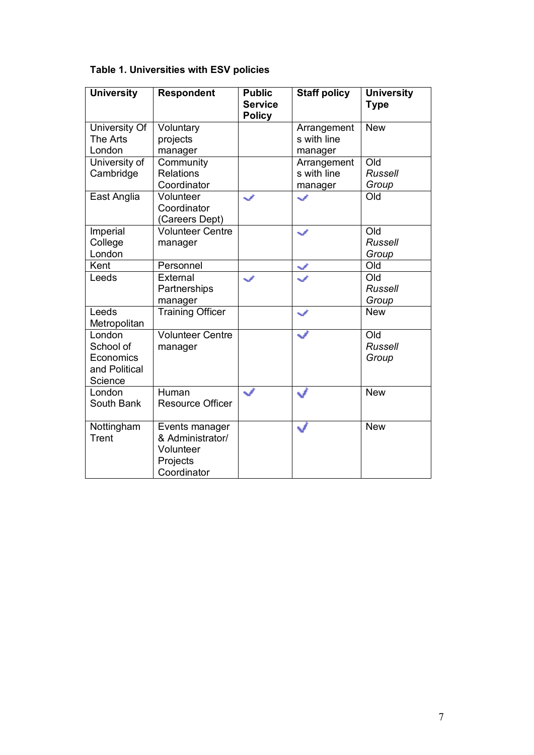|  | Table 1. Universities with ESV policies |  |  |  |
|--|-----------------------------------------|--|--|--|
|--|-----------------------------------------|--|--|--|

| <b>University</b>     | <b>Respondent</b>             | <b>Public</b><br><b>Service</b><br><b>Policy</b> | <b>Staff policy</b> | <b>University</b><br><b>Type</b> |
|-----------------------|-------------------------------|--------------------------------------------------|---------------------|----------------------------------|
| University Of         | Voluntary                     |                                                  | Arrangement         | <b>New</b>                       |
| The Arts              | projects                      |                                                  | s with line         |                                  |
| London                | manager                       |                                                  | manager             |                                  |
| University of         | Community                     |                                                  | Arrangement         | $\overline{Old}$                 |
| Cambridge             | <b>Relations</b>              |                                                  | s with line         | <b>Russell</b>                   |
|                       | Coordinator                   |                                                  | manager             | Group                            |
| East Anglia           | Volunteer                     |                                                  |                     | Old                              |
|                       | Coordinator<br>(Careers Dept) |                                                  |                     |                                  |
| Imperial              | <b>Volunteer Centre</b>       |                                                  |                     | $\overline{Old}$                 |
| College               | manager                       |                                                  |                     | <b>Russell</b>                   |
| London                |                               |                                                  |                     | Group                            |
| Kent                  | Personnel                     |                                                  | w                   | Old                              |
| Leeds                 | External                      |                                                  |                     | Old                              |
|                       | Partnerships                  |                                                  |                     | <b>Russell</b>                   |
|                       | manager                       |                                                  |                     | Group                            |
| Leeds<br>Metropolitan | <b>Training Officer</b>       |                                                  |                     | <b>New</b>                       |
| London                | <b>Volunteer Centre</b>       |                                                  |                     | $\overline{Old}$                 |
| School of             | manager                       |                                                  |                     | <b>Russell</b>                   |
| Economics             |                               |                                                  |                     | Group                            |
| and Political         |                               |                                                  |                     |                                  |
| Science               |                               |                                                  |                     |                                  |
| London                | Human                         |                                                  | ۹ū                  | <b>New</b>                       |
| South Bank            | <b>Resource Officer</b>       |                                                  |                     |                                  |
| Nottingham            | Events manager                |                                                  | ۹.                  | <b>New</b>                       |
| Trent                 | & Administrator/              |                                                  |                     |                                  |
|                       | Volunteer                     |                                                  |                     |                                  |
|                       | Projects                      |                                                  |                     |                                  |
|                       | Coordinator                   |                                                  |                     |                                  |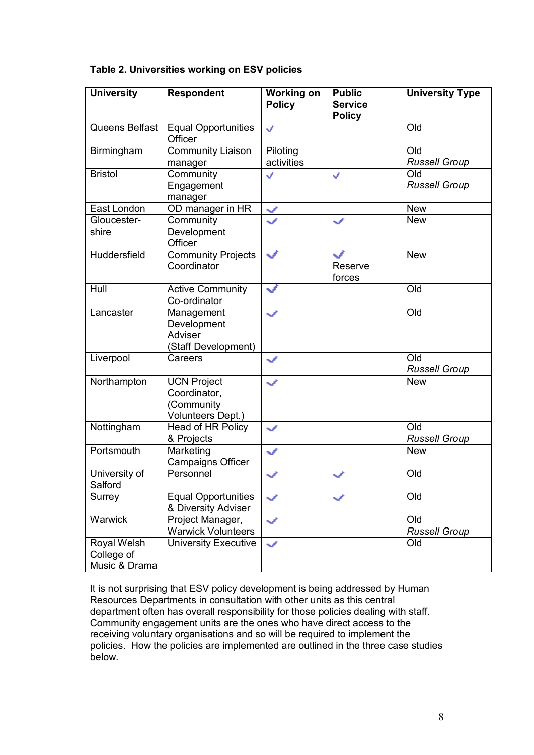| <b>University</b>                          | <b>Respondent</b>                                                     | <b>Working on</b><br><b>Policy</b> | <b>Public</b><br><b>Service</b><br><b>Policy</b> | <b>University Type</b>                   |
|--------------------------------------------|-----------------------------------------------------------------------|------------------------------------|--------------------------------------------------|------------------------------------------|
| Queens Belfast                             | <b>Equal Opportunities</b><br>Officer                                 | ✓                                  |                                                  | Old                                      |
| Birmingham                                 | <b>Community Liaison</b><br>manager                                   | Piloting<br>activities             |                                                  | Old<br><b>Russell Group</b>              |
| <b>Bristol</b>                             | Community<br>Engagement<br>manager                                    | ∢                                  | ✓                                                | $\overline{Old}$<br><b>Russell Group</b> |
| East London                                | OD manager in HR                                                      | می                                 |                                                  | <b>New</b>                               |
| Gloucester-<br>shire                       | Community<br>Development<br>Officer                                   |                                    |                                                  | <b>New</b>                               |
| Huddersfield                               | <b>Community Projects</b><br>Coordinator                              | $\mathbf{v}^{\prime}$              | $\checkmark$<br>Reserve<br>forces                | <b>New</b>                               |
| Hull                                       | <b>Active Community</b><br>Co-ordinator                               | W                                  |                                                  | Old                                      |
| Lancaster                                  | Management<br>Development<br>Adviser<br>(Staff Development)           | المحاييه                           |                                                  | Old                                      |
| Liverpool                                  | Careers                                                               | حمده                               |                                                  | Old<br><b>Russell Group</b>              |
| Northampton                                | <b>UCN Project</b><br>Coordinator,<br>(Community<br>Volunteers Dept.) | المحاينة                           |                                                  | <b>New</b>                               |
| Nottingham                                 | <b>Head of HR Policy</b><br>& Projects                                | المحاربه                           |                                                  | $\overline{Old}$<br><b>Russell Group</b> |
| Portsmouth                                 | Marketing<br><b>Campaigns Officer</b>                                 | $\mathcal{A}$                      |                                                  | <b>New</b>                               |
| University of<br>Salford                   | Personnel                                                             | ممدد                               |                                                  | Old                                      |
| Surrey                                     | <b>Equal Opportunities</b><br>& Diversity Adviser                     | المحاربه                           | $\mathcal{A}$                                    | Old                                      |
| Warwick                                    | Project Manager,<br><b>Warwick Volunteers</b>                         | $\mathcal{A}$                      |                                                  | Old<br><b>Russell Group</b>              |
| Royal Welsh<br>College of<br>Music & Drama | <b>University Executive</b>                                           | W                                  |                                                  | Old                                      |

It is not surprising that ESV policy development is being addressed by Human Resources Departments in consultation with other units as this central department often has overall responsibility for those policies dealing with staff. Community engagement units are the ones who have direct access to the receiving voluntary organisations and so will be required to implement the policies. How the policies are implemented are outlined in the three case studies below.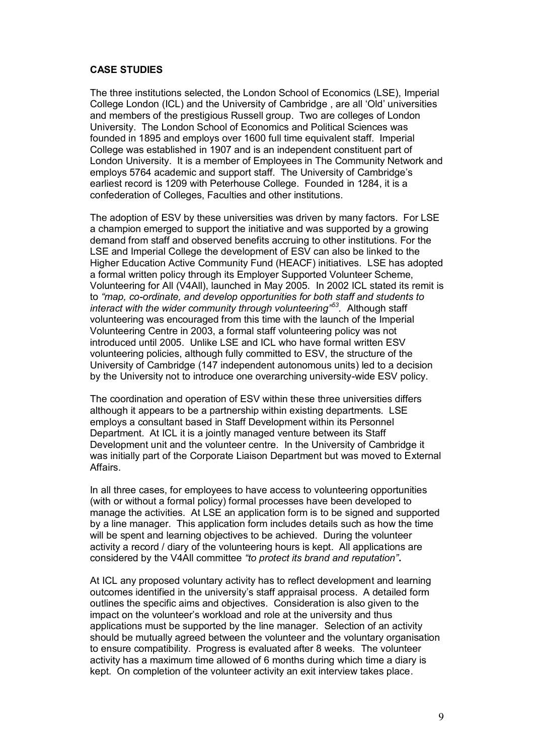### **CASE STUDIES**

The three institutions selected, the London School of Economics (LSE), Imperial College London (ICL) and the University of Cambridge , are all "Old" universities and members of the prestigious Russell group. Two are colleges of London University. The London School of Economics and Political Sciences was founded in 1895 and employs over 1600 full time equivalent staff. Imperial College was established in 1907 and is an independent constituent part of London University. It is a member of Employees in The Community Network and employs 5764 academic and support staff. The University of Cambridge"s earliest record is 1209 with Peterhouse College. Founded in 1284, it is a confederation of Colleges, Faculties and other institutions.

The adoption of ESV by these universities was driven by many factors. For LSE a champion emerged to support the initiative and was supported by a growing demand from staff and observed benefits accruing to other institutions. For the LSE and Imperial College the development of ESV can also be linked to the Higher Education Active Community Fund (HEACF) initiatives. LSE has adopted a formal written policy through its Employer Supported Volunteer Scheme, Volunteering for All (V4All), launched in May 2005. In 2002 ICL stated its remit is to *"map, co-ordinate, and develop opportunities for both staff and students to interact with the wider community through volunteering"<sup>53</sup> .* Although staff volunteering was encouraged from this time with the launch of the Imperial Volunteering Centre in 2003, a formal staff volunteering policy was not introduced until 2005. Unlike LSE and ICL who have formal written ESV volunteering policies, although fully committed to ESV, the structure of the University of Cambridge (147 independent autonomous units) led to a decision by the University not to introduce one overarching university-wide ESV policy.

The coordination and operation of ESV within these three universities differs although it appears to be a partnership within existing departments. LSE employs a consultant based in Staff Development within its Personnel Department. At ICL it is a jointly managed venture between its Staff Development unit and the volunteer centre. In the University of Cambridge it was initially part of the Corporate Liaison Department but was moved to External Affairs.

In all three cases, for employees to have access to volunteering opportunities (with or without a formal policy) formal processes have been developed to manage the activities. At LSE an application form is to be signed and supported by a line manager. This application form includes details such as how the time will be spent and learning objectives to be achieved. During the volunteer activity a record / diary of the volunteering hours is kept. All applications are considered by the V4All committee *"to protect its brand and reputation"***.**

At ICL any proposed voluntary activity has to reflect development and learning outcomes identified in the university"s staff appraisal process. A detailed form outlines the specific aims and objectives. Consideration is also given to the impact on the volunteer"s workload and role at the university and thus applications must be supported by the line manager. Selection of an activity should be mutually agreed between the volunteer and the voluntary organisation to ensure compatibility. Progress is evaluated after 8 weeks. The volunteer activity has a maximum time allowed of 6 months during which time a diary is kept. On completion of the volunteer activity an exit interview takes place.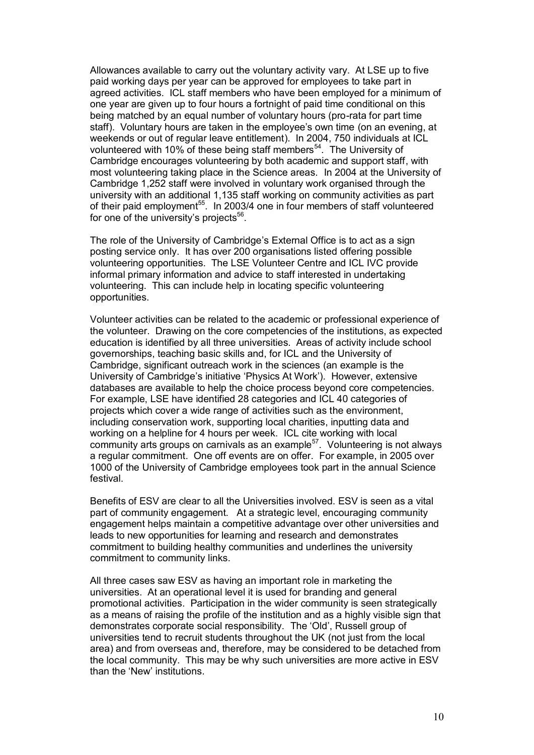Allowances available to carry out the voluntary activity vary. At LSE up to five paid working days per year can be approved for employees to take part in agreed activities. ICL staff members who have been employed for a minimum of one year are given up to four hours a fortnight of paid time conditional on this being matched by an equal number of voluntary hours (pro-rata for part time staff). Voluntary hours are taken in the employee's own time (on an evening, at weekends or out of regular leave entitlement). In 2004, 750 individuals at ICL volunteered with 10% of these being staff members<sup>54</sup>. The University of Cambridge encourages volunteering by both academic and support staff, with most volunteering taking place in the Science areas. In 2004 at the University of Cambridge 1,252 staff were involved in voluntary work organised through the university with an additional 1,135 staff working on community activities as part of their paid employment<sup>55</sup>. In 2003/4 one in four members of staff volunteered for one of the university's projects<sup>56</sup>.

The role of the University of Cambridge's External Office is to act as a sign posting service only. It has over 200 organisations listed offering possible volunteering opportunities. The LSE Volunteer Centre and ICL IVC provide informal primary information and advice to staff interested in undertaking volunteering. This can include help in locating specific volunteering opportunities.

Volunteer activities can be related to the academic or professional experience of the volunteer. Drawing on the core competencies of the institutions, as expected education is identified by all three universities. Areas of activity include school governorships, teaching basic skills and, for ICL and the University of Cambridge, significant outreach work in the sciences (an example is the University of Cambridge"s initiative "Physics At Work"). However, extensive databases are available to help the choice process beyond core competencies. For example, LSE have identified 28 categories and ICL 40 categories of projects which cover a wide range of activities such as the environment, including conservation work, supporting local charities, inputting data and working on a helpline for 4 hours per week. ICL cite working with local community arts groups on carnivals as an example<sup>57</sup>. Volunteering is not always a regular commitment. One off events are on offer. For example, in 2005 over 1000 of the University of Cambridge employees took part in the annual Science festival.

Benefits of ESV are clear to all the Universities involved. ESV is seen as a vital part of community engagement. At a strategic level, encouraging community engagement helps maintain a competitive advantage over other universities and leads to new opportunities for learning and research and demonstrates commitment to building healthy communities and underlines the university commitment to community links.

All three cases saw ESV as having an important role in marketing the universities. At an operational level it is used for branding and general promotional activities. Participation in the wider community is seen strategically as a means of raising the profile of the institution and as a highly visible sign that demonstrates corporate social responsibility. The "Old", Russell group of universities tend to recruit students throughout the UK (not just from the local area) and from overseas and, therefore, may be considered to be detached from the local community. This may be why such universities are more active in ESV than the 'New' institutions.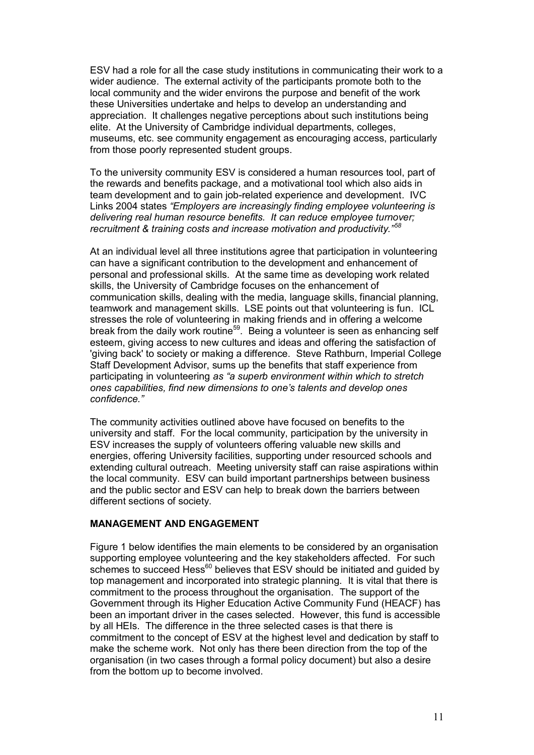ESV had a role for all the case study institutions in communicating their work to a wider audience. The external activity of the participants promote both to the local community and the wider environs the purpose and benefit of the work these Universities undertake and helps to develop an understanding and appreciation. It challenges negative perceptions about such institutions being elite. At the University of Cambridge individual departments, colleges, museums, etc. see community engagement as encouraging access, particularly from those poorly represented student groups.

To the university community ESV is considered a human resources tool, part of the rewards and benefits package, and a motivational tool which also aids in team development and to gain job-related experience and development. IVC Links 2004 states *"Employers are increasingly finding employee volunteering is delivering real human resource benefits. It can reduce employee turnover; recruitment & training costs and increase motivation and productivity."<sup>58</sup>*

At an individual level all three institutions agree that participation in volunteering can have a significant contribution to the development and enhancement of personal and professional skills. At the same time as developing work related skills, the University of Cambridge focuses on the enhancement of communication skills, dealing with the media, language skills, financial planning, teamwork and management skills. LSE points out that volunteering is fun. ICL stresses the role of volunteering in making friends and in offering a welcome break from the daily work routine<sup>59</sup>. Being a volunteer is seen as enhancing self esteem, giving access to new cultures and ideas and offering the satisfaction of 'giving back' to society or making a difference. Steve Rathburn, Imperial College Staff Development Advisor, sums up the benefits that staff experience from participating in volunteering *as "a superb environment within which to stretch ones capabilities, find new dimensions to one's talents and develop ones confidence."*

The community activities outlined above have focused on benefits to the university and staff. For the local community, participation by the university in ESV increases the supply of volunteers offering valuable new skills and energies, offering University facilities, supporting under resourced schools and extending cultural outreach. Meeting university staff can raise aspirations within the local community. ESV can build important partnerships between business and the public sector and ESV can help to break down the barriers between different sections of society.

#### **MANAGEMENT AND ENGAGEMENT**

Figure 1 below identifies the main elements to be considered by an organisation supporting employee volunteering and the key stakeholders affected. For such schemes to succeed Hess<sup>60</sup> believes that ESV should be initiated and guided by top management and incorporated into strategic planning. It is vital that there is commitment to the process throughout the organisation. The support of the Government through its Higher Education Active Community Fund (HEACF) has been an important driver in the cases selected. However, this fund is accessible by all HEIs. The difference in the three selected cases is that there is commitment to the concept of ESV at the highest level and dedication by staff to make the scheme work. Not only has there been direction from the top of the organisation (in two cases through a formal policy document) but also a desire from the bottom up to become involved.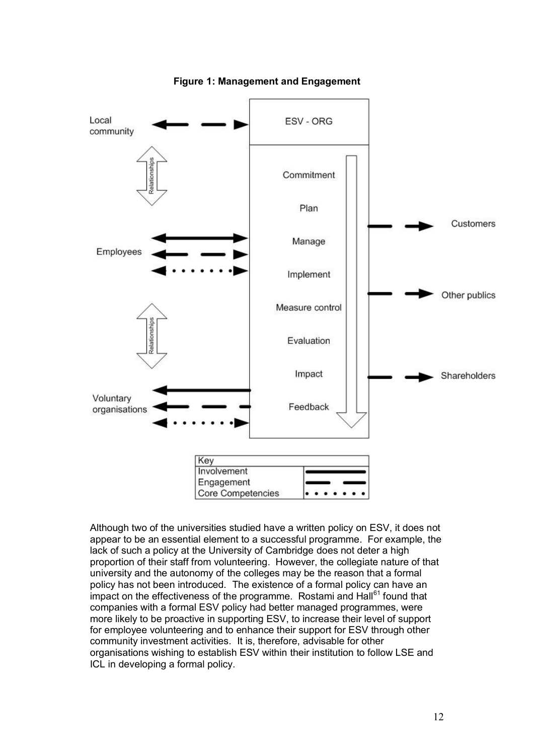

**Figure 1: Management and Engagement** 

Although two of the universities studied have a written policy on ESV, it does not appear to be an essential element to a successful programme. For example, the lack of such a policy at the University of Cambridge does not deter a high proportion of their staff from volunteering. However, the collegiate nature of that university and the autonomy of the colleges may be the reason that a formal policy has not been introduced. The existence of a formal policy can have an impact on the effectiveness of the programme. Rostami and Hall<sup>61</sup> found that companies with a formal ESV policy had better managed programmes, were more likely to be proactive in supporting ESV, to increase their level of support for employee volunteering and to enhance their support for ESV through other community investment activities. It is, therefore, advisable for other organisations wishing to establish ESV within their institution to follow LSE and ICL in developing a formal policy.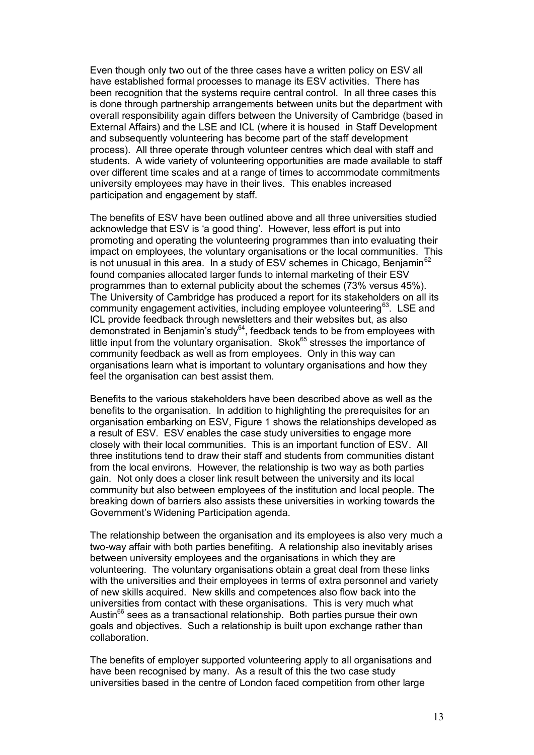Even though only two out of the three cases have a written policy on ESV all have established formal processes to manage its ESV activities. There has been recognition that the systems require central control. In all three cases this is done through partnership arrangements between units but the department with overall responsibility again differs between the University of Cambridge (based in External Affairs) and the LSE and ICL (where it is housed in Staff Development and subsequently volunteering has become part of the staff development process). All three operate through volunteer centres which deal with staff and students. A wide variety of volunteering opportunities are made available to staff over different time scales and at a range of times to accommodate commitments university employees may have in their lives. This enables increased participation and engagement by staff.

The benefits of ESV have been outlined above and all three universities studied acknowledge that ESV is "a good thing". However, less effort is put into promoting and operating the volunteering programmes than into evaluating their impact on employees, the voluntary organisations or the local communities. This is not unusual in this area. In a study of ESV schemes in Chicago, Benjamin<sup>62</sup> found companies allocated larger funds to internal marketing of their ESV programmes than to external publicity about the schemes (73% versus 45%). The University of Cambridge has produced a report for its stakeholders on all its community engagement activities, including employee volunteering<sup>63</sup>. LSE and ICL provide feedback through newsletters and their websites but, as also demonstrated in Benjamin's study $^{64}$ , feedback tends to be from employees with little input from the voluntary organisation. Skok<sup>65</sup> stresses the importance of community feedback as well as from employees. Only in this way can organisations learn what is important to voluntary organisations and how they feel the organisation can best assist them.

Benefits to the various stakeholders have been described above as well as the benefits to the organisation. In addition to highlighting the prerequisites for an organisation embarking on ESV, Figure 1 shows the relationships developed as a result of ESV. ESV enables the case study universities to engage more closely with their local communities. This is an important function of ESV. All three institutions tend to draw their staff and students from communities distant from the local environs. However, the relationship is two way as both parties gain. Not only does a closer link result between the university and its local community but also between employees of the institution and local people. The breaking down of barriers also assists these universities in working towards the Government"s Widening Participation agenda.

The relationship between the organisation and its employees is also very much a two-way affair with both parties benefiting. A relationship also inevitably arises between university employees and the organisations in which they are volunteering. The voluntary organisations obtain a great deal from these links with the universities and their employees in terms of extra personnel and variety of new skills acquired. New skills and competences also flow back into the universities from contact with these organisations. This is very much what Austin<sup>66</sup> sees as a transactional relationship. Both parties pursue their own goals and objectives. Such a relationship is built upon exchange rather than collaboration.

The benefits of employer supported volunteering apply to all organisations and have been recognised by many. As a result of this the two case study universities based in the centre of London faced competition from other large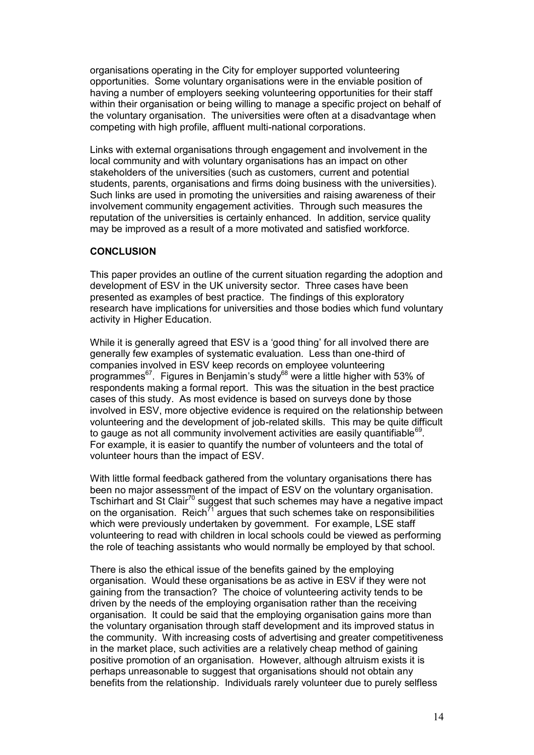organisations operating in the City for employer supported volunteering opportunities. Some voluntary organisations were in the enviable position of having a number of employers seeking volunteering opportunities for their staff within their organisation or being willing to manage a specific project on behalf of the voluntary organisation. The universities were often at a disadvantage when competing with high profile, affluent multi-national corporations.

Links with external organisations through engagement and involvement in the local community and with voluntary organisations has an impact on other stakeholders of the universities (such as customers, current and potential students, parents, organisations and firms doing business with the universities). Such links are used in promoting the universities and raising awareness of their involvement community engagement activities. Through such measures the reputation of the universities is certainly enhanced. In addition, service quality may be improved as a result of a more motivated and satisfied workforce.

### **CONCLUSION**

This paper provides an outline of the current situation regarding the adoption and development of ESV in the UK university sector. Three cases have been presented as examples of best practice. The findings of this exploratory research have implications for universities and those bodies which fund voluntary activity in Higher Education.

While it is generally agreed that ESV is a "good thing" for all involved there are generally few examples of systematic evaluation. Less than one-third of companies involved in ESV keep records on employee volunteering programmes<sup>67</sup>. Figures in Benjamin's study<sup>68</sup> were a little higher with 53% of respondents making a formal report. This was the situation in the best practice cases of this study. As most evidence is based on surveys done by those involved in ESV, more objective evidence is required on the relationship between volunteering and the development of job-related skills. This may be quite difficult to gauge as not all community involvement activities are easily quantifiable $^{69}$ . For example, it is easier to quantify the number of volunteers and the total of volunteer hours than the impact of ESV.

With little formal feedback gathered from the voluntary organisations there has been no major assessment of the impact of ESV on the voluntary organisation. Tschirhart and St Clair<sup>70</sup> suggest that such schemes may have a negative impact on the organisation. Reich<sup>71</sup> argues that such schemes take on responsibilities which were previously undertaken by government. For example, LSE staff volunteering to read with children in local schools could be viewed as performing the role of teaching assistants who would normally be employed by that school.

There is also the ethical issue of the benefits gained by the employing organisation. Would these organisations be as active in ESV if they were not gaining from the transaction? The choice of volunteering activity tends to be driven by the needs of the employing organisation rather than the receiving organisation. It could be said that the employing organisation gains more than the voluntary organisation through staff development and its improved status in the community. With increasing costs of advertising and greater competitiveness in the market place, such activities are a relatively cheap method of gaining positive promotion of an organisation. However, although altruism exists it is perhaps unreasonable to suggest that organisations should not obtain any benefits from the relationship. Individuals rarely volunteer due to purely selfless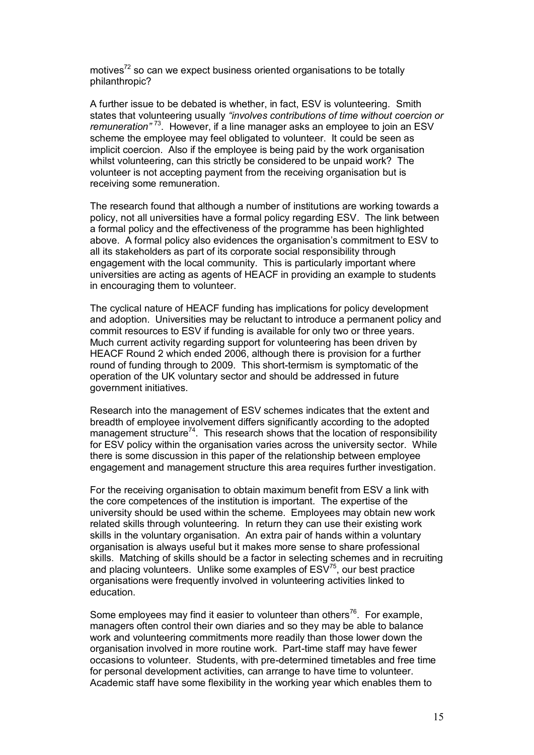motives<sup> $72$ </sup> so can we expect business oriented organisations to be totally philanthropic?

A further issue to be debated is whether, in fact, ESV is volunteering.Smith states that volunteering usually *"involves contributions of time without coercion or*  remuneration<sup>"73</sup>. However, if a line manager asks an employee to join an ESV scheme the employee may feel obligated to volunteer. It could be seen as implicit coercion. Also if the employee is being paid by the work organisation whilst volunteering, can this strictly be considered to be unpaid work? The volunteer is not accepting payment from the receiving organisation but is receiving some remuneration.

The research found that although a number of institutions are working towards a policy, not all universities have a formal policy regarding ESV. The link between a formal policy and the effectiveness of the programme has been highlighted above. A formal policy also evidences the organisation"s commitment to ESV to all its stakeholders as part of its corporate social responsibility through engagement with the local community. This is particularly important where universities are acting as agents of HEACF in providing an example to students in encouraging them to volunteer.

The cyclical nature of HEACF funding has implications for policy development and adoption. Universities may be reluctant to introduce a permanent policy and commit resources to ESV if funding is available for only two or three years. Much current activity regarding support for volunteering has been driven by HEACF Round 2 which ended 2006, although there is provision for a further round of funding through to 2009. This short-termism is symptomatic of the operation of the UK voluntary sector and should be addressed in future government initiatives.

Research into the management of ESV schemes indicates that the extent and breadth of employee involvement differs significantly according to the adopted management structure<sup>74</sup>. This research shows that the location of responsibility for ESV policy within the organisation varies across the university sector. While there is some discussion in this paper of the relationship between employee engagement and management structure this area requires further investigation.

For the receiving organisation to obtain maximum benefit from ESV a link with the core competences of the institution is important. The expertise of the university should be used within the scheme. Employees may obtain new work related skills through volunteering. In return they can use their existing work skills in the voluntary organisation. An extra pair of hands within a voluntary organisation is always useful but it makes more sense to share professional skills. Matching of skills should be a factor in selecting schemes and in recruiting and placing volunteers. Unlike some examples of  $ESV^{75}$ , our best practice organisations were frequently involved in volunteering activities linked to education.

Some employees may find it easier to volunteer than others<sup>76</sup>. For example, managers often control their own diaries and so they may be able to balance work and volunteering commitments more readily than those lower down the organisation involved in more routine work. Part-time staff may have fewer occasions to volunteer. Students, with pre-determined timetables and free time for personal development activities, can arrange to have time to volunteer. Academic staff have some flexibility in the working year which enables them to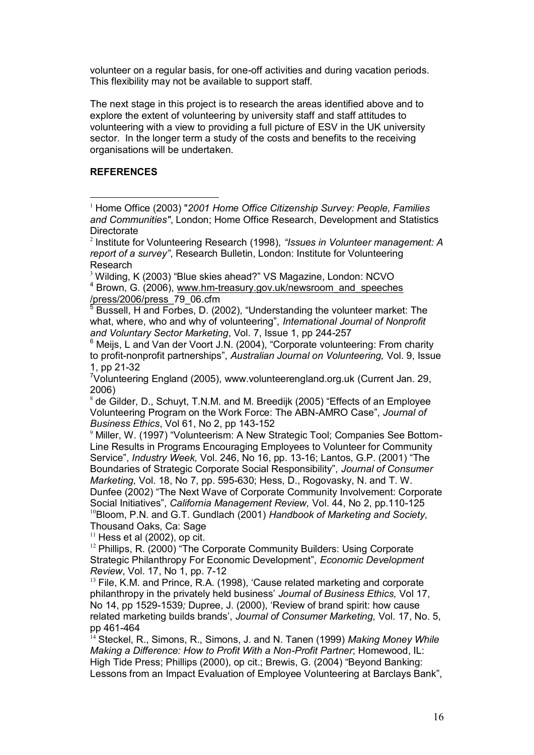volunteer on a regular basis, for one-off activities and during vacation periods. This flexibility may not be available to support staff.

The next stage in this project is to research the areas identified above and to explore the extent of volunteering by university staff and staff attitudes to volunteering with a view to providing a full picture of ESV in the UK university sector. In the longer term a study of the costs and benefits to the receiving organisations will be undertaken.

## **REFERENCES**

 $\overline{a}$ 

<sup>3</sup> Wilding, K (2003) "Blue skies ahead?" VS Magazine, London: NCVO

<sup>4</sup> Brown, G. (2006), www.hm-treasury.gov.uk/newsroom\_and\_speeches [/press/2006/press\\_](http://www.hm-treasury.gov.uk/newsroom_and_speeches%20/press/2006/press)79\_06.cfm

<sup>5</sup> Bussell, H and Forbes, D. (2002), "Understanding the volunteer market: The what, where, who and why of volunteering", *International Journal of Nonprofit and Voluntary Sector Marketing*, Vol. 7, Issue 1, pp 244-257

 $6$  Meijs, L and Van der Voort J.N. (2004), "Corporate volunteering: From charity to profit-nonprofit partnerships", *Australian Journal on Volunteering,* Vol. 9, Issue 1, pp 21-32

<sup>7</sup>Volunteering England (2005), [www.volunteerengland.org.uk](http://www.volunteerengland.org.uk/) (Current Jan. 29, 2006)

<sup>8</sup> de Gilder, D., Schuyt, T.N.M. and M. Breedijk (2005) "Effects of an Employee Volunteering Program on the Work Force: The ABN-AMRO Case", *Journal of Business Ethics*, Vol 61, No 2, pp 143-152

<sup>9</sup> Miller, W. (1997) "Volunteerism: A New Strategic Tool; Companies See Bottom-Line Results in Programs Encouraging Employees to Volunteer for Community Service", *Industry Week,* Vol. 246, No 16, pp. 13-16; Lantos, G.P. (2001) "The Boundaries of Strategic Corporate Social Responsibility", *Journal of Consumer Marketing,* Vol. 18, No 7, pp. 595-630; Hess, D., Rogovasky, N. and T. W. Dunfee (2002) "The Next Wave of Corporate Community Involvement: Corporate Social Initiatives", *California Management Review,* Vol. 44, No 2, pp.110-125 <sup>10</sup>Bloom, P.N. and G.T. Gundlach (2001) *Handbook of Marketing and Society,* 

Thousand Oaks, Ca: Sage

 $11$  Hess et al (2002), op cit.

 $12$  Phillips, R. (2000) "The Corporate Community Builders: Using Corporate Strategic Philanthropy For Economic Development", *Economic Development Review*, Vol. 17, No 1, pp. 7-12

 $13$  File, K.M. and Prince, R.A. (1998), 'Cause related marketing and corporate philanthropy in the privately held business" *Journal of Business Ethics,* Vol 17, No 14, pp 1529-1539*;* Dupree, J. (2000), "Review of brand spirit: how cause related marketing builds brands", *Journal of Consumer Marketing,* Vol. 17, No. 5, pp 461-464

<sup>14</sup> Steckel, R., Simons, R., Simons, J. and N. Tanen (1999) *Making Money While Making a Difference: How to Profit With a Non-Profit Partner*; Homewood, IL: High Tide Press; Phillips (2000), op cit.; Brewis, G. (2004) "Beyond Banking: Lessons from an Impact Evaluation of Employee Volunteering at Barclays Bank",

<sup>1</sup> Home Office (2003) "*2001 Home Office Citizenship Survey: People, Families and Communities"*, London; Home Office Research, Development and Statistics **Directorate** 

<sup>2</sup> Institute for Volunteering Research (1998), *"Issues in Volunteer management: A report of a survey"*, Research Bulletin, London: Institute for Volunteering Research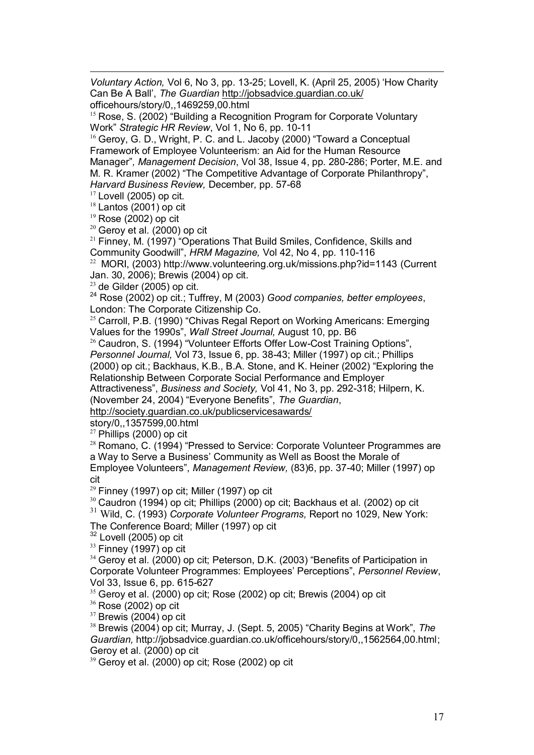$\overline{a}$ *Voluntary Action,* Vol 6, No 3, pp. 13-25; Lovell, K. (April 25, 2005) "How Charity Can Be A Ball", *The Guardian* <http://jobsadvice.guardian.co.uk/> officehours/story/0,,1469259,00.html

 $15$  Rose, S. (2002) "Building a Recognition Program for Corporate Voluntary Work" *Strategic HR Review*, Vol 1, No 6, pp. 10-11

 $16$  Geroy, G. D., Wright, P. C. and L. Jacoby (2000) "Toward a Conceptual Framework of Employee Volunteerism: an Aid for the Human Resource Manager"*, Management Decision*, Vol 38, Issue 4, pp. 280-286; Porter, M.E. and M. R. Kramer (2002) "The Competitive Advantage of Corporate Philanthropy", *Harvard Business Review,* December*,* pp. 57-68

 $17$  Lovell (2005) op cit.

 $18$  Lantos (2001) op cit

 $19$  Rose (2002) op cit

 $20$  Geroy et al. (2000) op cit

 $21$  Finney, M. (1997) "Operations That Build Smiles, Confidence, Skills and Community Goodwill", *HRM Magazine,* Vol 42, No 4, pp. 110-116

<sup>22</sup> MORI, (2003)<http://www.volunteering.org.uk/missions.php?id=1143>(Current Jan. 30, 2006); Brewis (2004) op cit.

 $23$  de Gilder (2005) op cit.

<sup>24</sup> Rose (2002) op cit.; Tuffrey, M (2003) *Good companies, better employees*, London: The Corporate Citizenship Co.

 $25$  Carroll, P.B. (1990) "Chivas Regal Report on Working Americans: Emerging Values for the 1990s", *Wall Street Journal,* August 10, pp. B6

<sup>26</sup> Caudron, S. (1994) "Volunteer Efforts Offer Low-Cost Training Options", *Personnel Journal,* Vol 73, Issue 6, pp. 38-43; Miller (1997) op cit.; Phillips (2000) op cit.; Backhaus, K.B., B.A. Stone, and K. Heiner (2002) "Exploring the Relationship Between Corporate Social Performance and Employer

Attractiveness", *Business and Society,* Vol 41, No 3, pp. 292-318; Hilpern, K. (November 24, 2004) "Everyone Benefits", *The Guardian*,

<http://society.guardian.co.uk/publicservicesawards/>

story/0,,1357599,00.html

 $27$  Phillips (2000) op cit

<sup>28</sup> Romano, C. (1994) "Pressed to Service: Corporate Volunteer Programmes are a Way to Serve a Business" Community as Well as Boost the Morale of Employee Volunteers", *Management Review,* (83)6, pp. 37-40; Miller (1997) op cit

<sup>29</sup> Finney (1997) op cit; Miller (1997) op cit

<sup>30</sup> Caudron (1994) op cit; Phillips (2000) op cit; Backhaus et al. (2002) op cit

<sup>31</sup> Wild, C. (1993) *Corporate Volunteer Programs,* Report no 1029, New York: The Conference Board; Miller (1997) op cit

 $32$  Lovell (2005) op cit

 $33$  Finney (1997) op cit

<sup>34</sup> Geroy et al. (2000) op cit: Peterson, D.K. (2003) "Benefits of Participation in Corporate Volunteer Programmes: Employees" Perceptions", *Personnel Review*, Vol 33, Issue 6, pp. 615-627

 $35$  Geroy et al. (2000) op cit; Rose (2002) op cit; Brewis (2004) op cit

 $36$  Rose (2002) op cit

 $37$  Brewis (2004) op cit

<sup>38</sup> Brewis (2004) op cit; Murray, J. (Sept. 5, 2005) "Charity Begins at Work", *The Guardian,* http://jobsadvice.guardian.co.uk/officehours/story/0,,1562564,00.html; Geroy et al. (2000) op cit

 $39$  Geroy et al. (2000) op cit; Rose (2002) op cit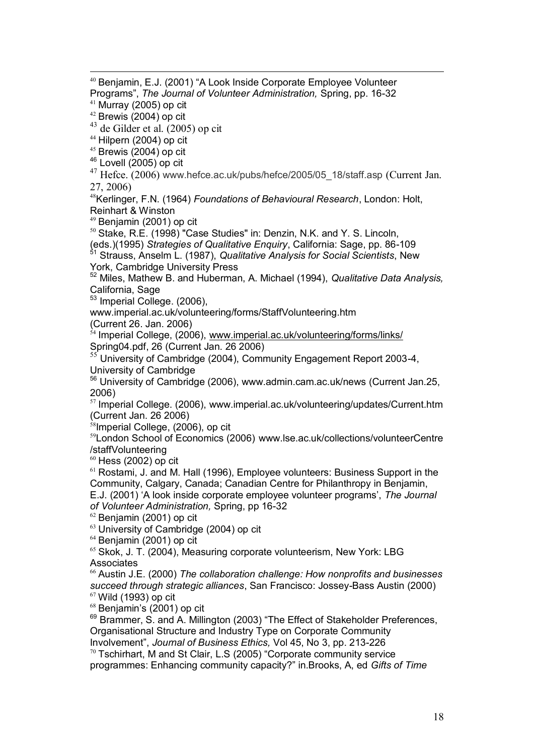<sup>40</sup> Benjamin, E.J. (2001) "A Look Inside Corporate Employee Volunteer

 $41$  Murray (2005) op cit

 $\overline{a}$ 

 $43$  de Gilder et al. (2005) op cit

<sup>44</sup> Hilpern (2004) op cit

 $45$  Brewis (2004) op cit

 $46$  Lovell (2005) op cit

 $^{47}$  Hefce. (2006) [www.hefce.ac.uk/pubs/hefce/2005/05\\_18/staff.asp](http://www.hefce.ac.uk/pubs/hefce/2005/05_18/staff.asp) (Current Jan. 27, 2006)

<sup>48</sup>Kerlinger, F.N. (1964) *Foundations of Behavioural Research*, London: Holt, Reinhart & Winston

<sup>49</sup> Benjamin (2001) op cit

<sup>50</sup> Stake, R.E. (1998) "Case Studies" in: Denzin, N.K. and Y. S. Lincoln, (eds.)(1995) *Strategies of Qualitative Enquiry*, California: Sage, pp. 86-109 <sup>51</sup> Strauss, Anselm L. (1987), *Qualitative Analysis for Social Scientists*, New

York, Cambridge University Press

<sup>52</sup> Miles, Mathew B. and Huberman, A. Michael (1994), *Qualitative Data Analysis,*  California, Sage

<sup>53</sup> Imperial College. (2006),

www.imperial.ac.uk/volunteering/forms/StaffVolunteering.htm

(Current 26. Jan. 2006)

 $\frac{54}{1}$  Imperial College, (2006), [www.imperial.ac.uk/volunteering/forms/links/](http://www.imperial.ac.uk/volunteering/forms/links/) Spring04.pdf, 26 (Current Jan. 26 2006)

<sup>55</sup> University of Cambridge (2004), Community Engagement Report 2003-4, University of Cambridge

<sup>56</sup> University of Cambridge (2006), [www.admin.cam.ac.uk/news](http://www.admin.cam.ac.uk/news) (Current Jan.25, 2006)

 $57$  Imperial College. (2006), [www.imperial.ac.uk/volunteering/updates/Current.htm](http://www.imperial.ac.uk/volunteering/updates/Current.htm) (Current Jan. 26 2006)

<sup>58</sup>Imperial College, (2006), op cit

<sup>59</sup>London School of Economics (2006) www.lse.ac.uk/collections/volunteerCentre /staffVolunteering

 $60$  Hess (2002) op cit

 $61$  Rostami, J. and M. Hall (1996), Employee volunteers: Business Support in the Community, Calgary, Canada; Canadian Centre for Philanthropy in Benjamin,

E.J. (2001) "A look inside corporate employee volunteer programs", *The Journal of Volunteer Administration,* Spring, pp 16-32

 $62$  Benjamin (2001) op cit

 $63$  University of Cambridge (2004) op cit

<sup>64</sup> Benjamin (2001) op cit

<sup>65</sup> Skok, J. T. (2004), Measuring corporate volunteerism, New York: LBG **Associates** 

<sup>66</sup> Austin J.E. (2000) *The collaboration challenge: How nonprofits and businesses succeed through strategic alliances*, San Francisco: Jossey-Bass Austin (2000) <sup>67</sup> Wild (1993) op cit

 $68$  Benjamin's  $(2001)$  op cit

 $69$  Brammer, S. and A. Millington (2003) "The Effect of Stakeholder Preferences, Organisational Structure and Industry Type on Corporate Community Involvement", *Journal of Business Ethics,* Vol 45, No 3, pp. 213-226

 $70$  Tschirhart, M and St Clair, L.S (2005) "Corporate community service programmes: Enhancing community capacity?" in.Brooks, A, ed *Gifts of Time* 

Programs", *The Journal of Volunteer Administration,* Spring, pp. 16-32

 $42$  Brewis (2004) op cit